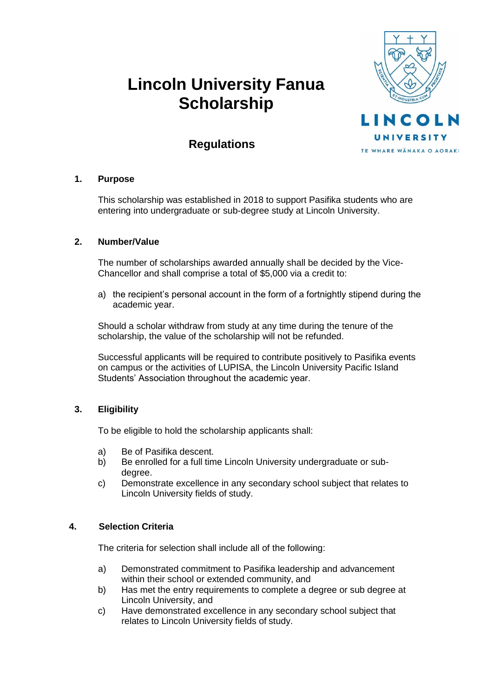# **Lincoln University Fanua Scholarship**



# **Regulations**

# **1. Purpose**

This scholarship was established in 2018 to support Pasifika students who are entering into undergraduate or sub-degree study at Lincoln University.

# **2. Number/Value**

The number of scholarships awarded annually shall be decided by the Vice-Chancellor and shall comprise a total of \$5,000 via a credit to:

a) the recipient's personal account in the form of a fortnightly stipend during the academic year.

Should a scholar withdraw from study at any time during the tenure of the scholarship, the value of the scholarship will not be refunded.

Successful applicants will be required to contribute positively to Pasifika events on campus or the activities of LUPISA, the Lincoln University Pacific Island Students' Association throughout the academic year.

# **3. Eligibility**

To be eligible to hold the scholarship applicants shall:

- a) Be of Pasifika descent.
- b) Be enrolled for a full time Lincoln University undergraduate or subdegree.
- c) Demonstrate excellence in any secondary school subject that relates to Lincoln University fields of study.

#### **4. Selection Criteria**

The criteria for selection shall include all of the following:

- a) Demonstrated commitment to Pasifika leadership and advancement within their school or extended community, and
- b) Has met the entry requirements to complete a degree or sub degree at Lincoln University, and
- c) Have demonstrated excellence in any secondary school subject that relates to Lincoln University fields of study.